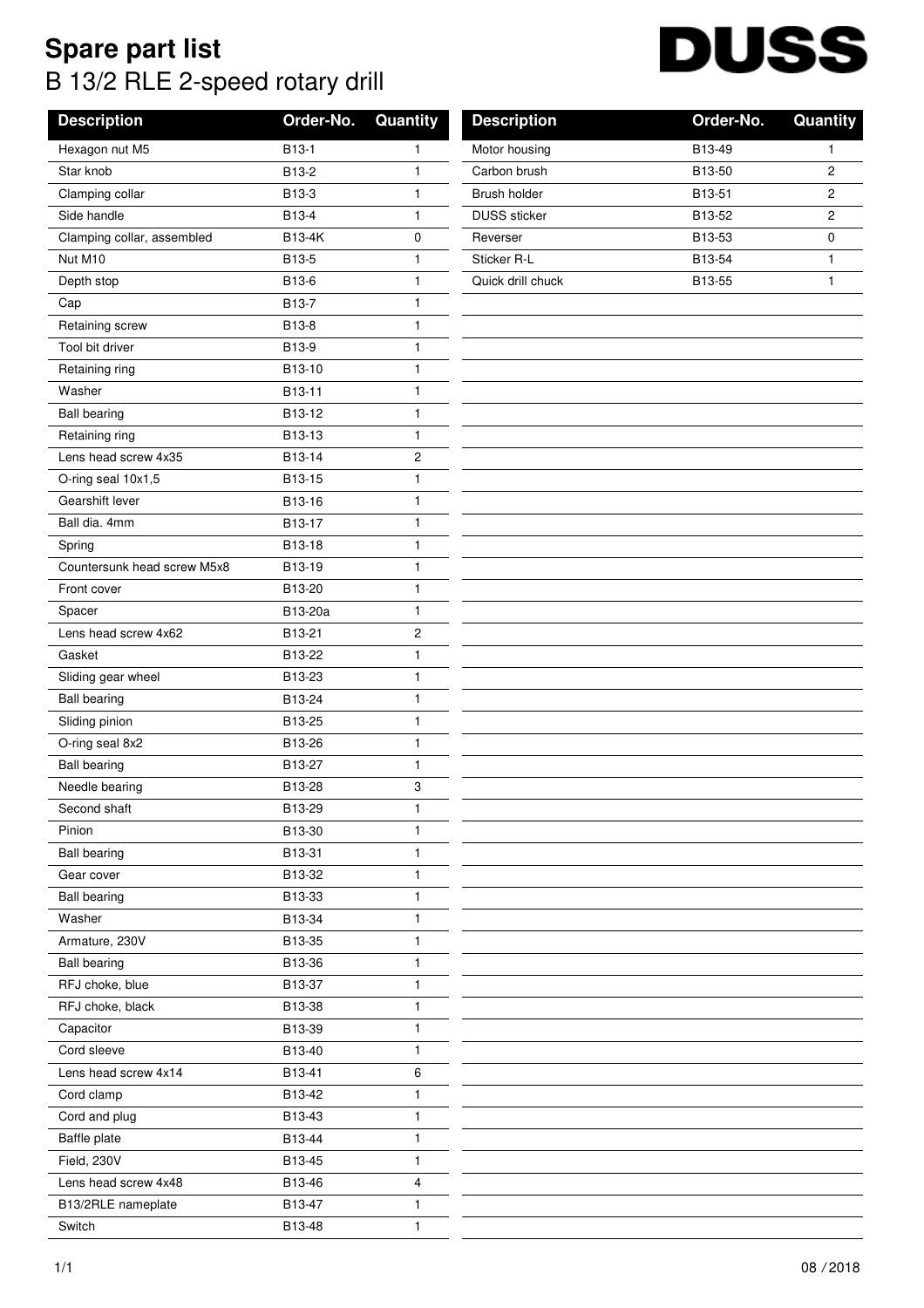## **Spare part list** B 13/2 RLE 2-speed rotary drill

## DI USS

| <b>Description</b>          | Order-No. | Quantity                | <b>Description</b>  | Order-No. | Quantity       |
|-----------------------------|-----------|-------------------------|---------------------|-----------|----------------|
| Hexagon nut M5              | B13-1     | 1                       | Motor housing       | B13-49    | 1              |
| Star knob                   | B13-2     | $\mathbf{1}$            | Carbon brush        | B13-50    | $\mathbf{2}$   |
| Clamping collar             | B13-3     | 1                       | Brush holder        | B13-51    | $\mathbf{2}$   |
| Side handle                 | B13-4     | 1                       | <b>DUSS</b> sticker | B13-52    | $\overline{c}$ |
| Clamping collar, assembled  | B13-4K    | $\pmb{0}$               | Reverser            | B13-53    | $\mathbf 0$    |
| Nut M10                     | B13-5     | 1                       | Sticker R-L         | B13-54    | 1              |
| Depth stop                  | B13-6     | 1                       | Quick drill chuck   | B13-55    | $\mathbf{1}$   |
| Cap                         | B13-7     | $\mathbf{1}$            |                     |           |                |
| Retaining screw             | B13-8     | 1                       |                     |           |                |
| Tool bit driver             | B13-9     | $\mathbf{1}$            |                     |           |                |
| Retaining ring              | B13-10    | 1                       |                     |           |                |
| Washer                      | B13-11    | 1                       |                     |           |                |
| <b>Ball bearing</b>         | B13-12    | 1                       |                     |           |                |
| Retaining ring              | B13-13    | 1                       |                     |           |                |
| Lens head screw 4x35        | B13-14    | $\overline{\mathbf{c}}$ |                     |           |                |
| O-ring seal 10x1,5          | B13-15    | 1                       |                     |           |                |
| Gearshift lever             | B13-16    | 1                       |                     |           |                |
| Ball dia. 4mm               | B13-17    | $\mathbf{1}$            |                     |           |                |
| Spring                      | B13-18    | $\mathbf{1}$            |                     |           |                |
| Countersunk head screw M5x8 | B13-19    | 1                       |                     |           |                |
| Front cover                 | B13-20    | 1                       |                     |           |                |
| Spacer                      | B13-20a   | 1                       |                     |           |                |
| Lens head screw 4x62        | B13-21    | $\overline{c}$          |                     |           |                |
| Gasket                      | B13-22    | $\mathbf{1}$            |                     |           |                |
| Sliding gear wheel          | B13-23    | $\mathbf{1}$            |                     |           |                |
| <b>Ball bearing</b>         | B13-24    | 1                       |                     |           |                |
| Sliding pinion              | B13-25    | $\mathbf{1}$            |                     |           |                |
| O-ring seal 8x2             | B13-26    | $\mathbf{1}$            |                     |           |                |
| <b>Ball bearing</b>         | B13-27    | 1                       |                     |           |                |
| Needle bearing              | B13-28    | 3                       |                     |           |                |
| Second shaft                | B13-29    | 1                       |                     |           |                |
| Pinion                      | B13-30    | $\mathbf{1}$            |                     |           |                |
| <b>Ball bearing</b>         | B13-31    | 1                       |                     |           |                |
| Gear cover                  | B13-32    | $\mathbf{1}$            |                     |           |                |
| <b>Ball bearing</b>         | B13-33    | 1                       |                     |           |                |
| Washer                      | B13-34    | 1                       |                     |           |                |
| Armature, 230V              | B13-35    | 1                       |                     |           |                |
| <b>Ball bearing</b>         | B13-36    | 1                       |                     |           |                |
| RFJ choke, blue             | B13-37    | 1                       |                     |           |                |
| RFJ choke, black            | B13-38    | 1                       |                     |           |                |
| Capacitor                   | B13-39    | $\mathbf{1}$            |                     |           |                |
| Cord sleeve                 | B13-40    | 1                       |                     |           |                |
| Lens head screw 4x14        | B13-41    | 6                       |                     |           |                |
| Cord clamp                  | B13-42    | 1                       |                     |           |                |
| Cord and plug               | B13-43    | 1                       |                     |           |                |
| Baffle plate                | B13-44    | 1                       |                     |           |                |
| Field, 230V                 | B13-45    | 1                       |                     |           |                |
| Lens head screw 4x48        | B13-46    | 4                       |                     |           |                |
| B13/2RLE nameplate          | B13-47    | $\mathbf{1}$            |                     |           |                |
| Switch                      | B13-48    | 1                       |                     |           |                |
|                             |           |                         |                     |           |                |

| <b>DIVILILL Hamppiale</b> | <b>PIV TI</b> |  |
|---------------------------|---------------|--|
| Switch                    | B13-48        |  |
|                           |               |  |
| 1/1                       |               |  |